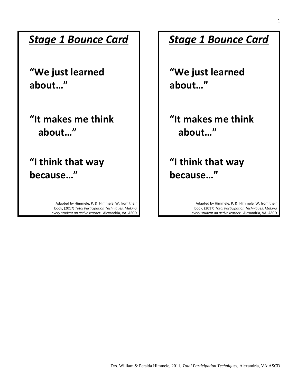#### *Stage 1 Bounce Card*

**"We just learned about…"**

**"It makes me think about…"**

**"I think that way because…"**

> Adapted by Himmele, P. & Himmele, W. from their book, (2017) *Total Participation Techniques: Making every student an active learner.* Alexandria, VA: ASCD

#### *Stage 1 Bounce Card*

**"We just learned about…"**

**"It makes me think about…"**

**"I think that way because…"**

> Adapted by Himmele, P. & Himmele, W. from their book, (2017) *Total Participation Techniques: Making every student an active learner.* Alexandria, VA: ASCD